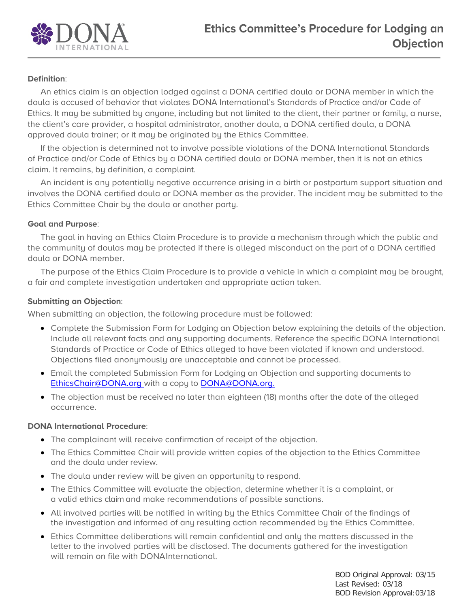

# **Definition**:

An ethics claim is an objection lodged against a DONA certified doula or DONA member in which the doula is accused of behavior that violates DONA International's Standards of Practice and/or Code of Ethics. It may be submitted by anyone, including but not limited to the client, their partner or family, a nurse, the client's care provider, a hospital administrator, another doula, a DONA certified doula, a DONA approved doula trainer; or it may be originated by the Ethics Committee.

If the objection is determined not to involve possible violations of the DONA International Standards of Practice and/or Code of Ethics by a DONA certified doula or DONA member, then it is not an ethics claim. It remains, by definition, a complaint.

An incident is any potentially negative occurrence arising in a birth or postpartum support situation and involves the DONA certified doula or DONA member as the provider. The incident may be submitted to the Ethics Committee Chair by the doula or another party.

## **Goal and Purpose**:

The goal in having an Ethics Claim Procedure is to provide a mechanism through which the public and the community of doulas may be protected if there is alleged misconduct on the part of a DONA certified doula or DONA member.

The purpose of the Ethics Claim Procedure is to provide a vehicle in which a complaint may be brought, a fair and complete investigation undertaken and appropriate action taken.

## **Submitting an Objection**:

When submitting an objection, the following procedure must be followed:

- Complete the Submission Form for Lodging an Objection below explaining the details of the objection. Include all relevant facts and any supporting documents. Reference the specific DONA International Standards of Practice or Code of Ethics alleged to have been violated if known and understood. Objections filed anonymously are unacceptable and cannot be processed.
- Email the completed Submission Form for Lodging an Objection and supporting documents to [EthicsChair@DONA.org w](mailto:EthicsChair@DONA.org)ith a copy to [DONA@DONA.org.](mailto:DONA@DONA.org.)
- The objection must be received no later than eighteen (18) months after the date of the alleged occurrence.

## **DONA International Procedure**:

- The complainant will receive confirmation of receipt of the objection.
- The Ethics Committee Chair will provide written copies of the objection to the Ethics Committee and the doula under review.
- The doula under review will be given an opportunity to respond.
- The Ethics Committee will evaluate the objection, determine whether it is a complaint, or a valid ethics claim and make recommendations of possible sanctions.
- All involved parties will be notified in writing by the Ethics Committee Chair of the findings of the investigation and informed of any resulting action recommended by the Ethics Committee.
- Ethics Committee deliberations will remain confidential and only the matters discussed in the letter to the involved parties will be disclosed. The documents gathered for the investigation will remain on file with DONAInternational.